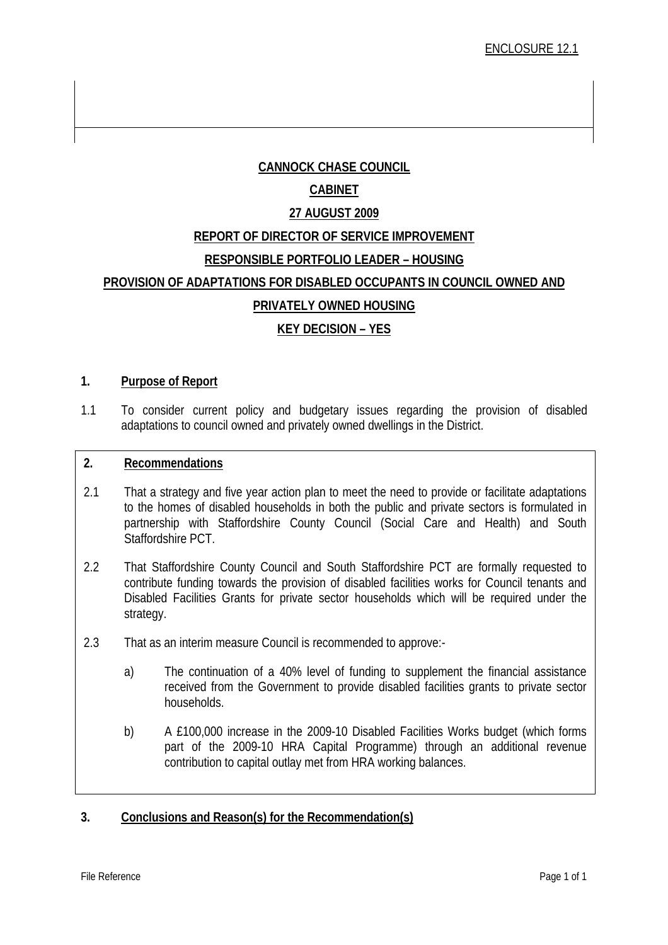# **CANNOCK CHASE COUNCIL**

## **CABINET**

## **27 AUGUST 2009**

# **REPORT OF DIRECTOR OF SERVICE IMPROVEMENT**

## **RESPONSIBLE PORTFOLIO LEADER – HOUSING**

## **PROVISION OF ADAPTATIONS FOR DISABLED OCCUPANTS IN COUNCIL OWNED AND**

## **PRIVATELY OWNED HOUSING**

# **KEY DECISION – YES**

### **1. Purpose of Report**

1.1 To consider current policy and budgetary issues regarding the provision of disabled adaptations to council owned and privately owned dwellings in the District.

#### **2. Recommendations**

- 2.1 That a strategy and five year action plan to meet the need to provide or facilitate adaptations to the homes of disabled households in both the public and private sectors is formulated in partnership with Staffordshire County Council (Social Care and Health) and South Staffordshire PCT.
- Disabled Facilities Grants for private sector households which will be required under the 2.2 That Staffordshire County Council and South Staffordshire PCT are formally requested to contribute funding towards the provision of disabled facilities works for Council tenants and strategy.
- 2.3 That as an interim measure Council is recommended to approve:-
- received from the Government to provide disabled facilities grants to private sector a) The continuation of a 40% level of funding to supplement the financial assistance households.
	- b) A £100,000 increase in the 2009-10 Disabled Facilities Works budget (which forms part of the 2009-10 HRA Capital Programme) through an additional revenue contribution to capital outlay met from HRA working balances.

## **3. Conclusions and Reason(s) for the Recommendation(s)**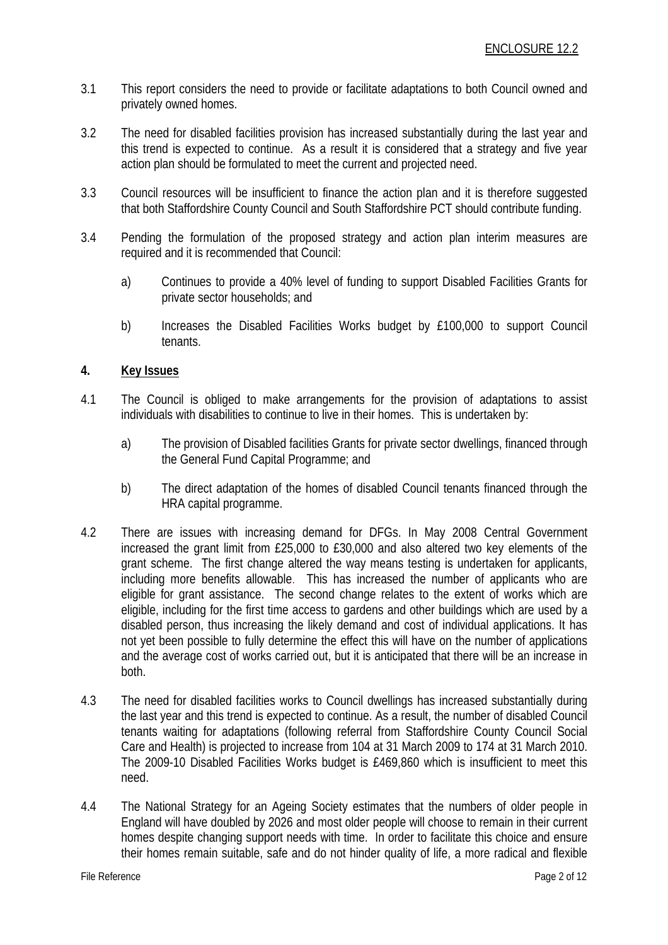- 3.1 This report considers the need to provide or facilitate adaptations to both Council owned and privately owned homes.
- 3.2 The need for disabled facilities provision has increased substantially during the last year and this trend is expected to continue. As a result it is considered that a strategy and five year action plan should be formulated to meet the current and projected need.
- 3.3 Council resources will be insufficient to finance the action plan and it is therefore suggested that both Staffordshire County Council and South Staffordshire PCT should contribute funding.
- 3.4 Pending the formulation of the proposed strategy and action plan interim measures are required and it is recommended that Council:
	- a) Continues to provide a 40% level of funding to support Disabled Facilities Grants for private sector households; and
	- b) Increases the Disabled Facilities Works budget by £100,000 to support Council tenants.

### **4. Key Issues**

- 4.1 The Council is obliged to make arrangements for the provision of adaptations to assist individuals with disabilities to continue to live in their homes. This is undertaken by:
	- a) The provision of Disabled facilities Grants for private sector dwellings, financed through the General Fund Capital Programme; and
	- b) The direct adaptation of the homes of disabled Council tenants financed through the HRA capital programme.
- 4.2 There are issues with increasing demand for DFGs. In May 2008 Central Government increased the grant limit from £25,000 to £30,000 and also altered two key elements of the grant scheme. The first change altered the way means testing is undertaken for applicants, including more benefits allowable. This has increased the number of applicants who are eligible for grant assistance. The second change relates to the extent of works which are eligible, including for the first time access to gardens and other buildings which are used by a disabled person, thus increasing the likely demand and cost of individual applications. It has not yet been possible to fully determine the effect this will have on the number of applications and the average cost of works carried out, but it is anticipated that there will be an increase in both.
- 4.3 The need for disabled facilities works to Council dwellings has increased substantially during the last year and this trend is expected to continue. As a result, the number of disabled Council tenants waiting for adaptations (following referral from Staffordshire County Council Social Care and Health) is projected to increase from 104 at 31 March 2009 to 174 at 31 March 2010. The 2009-10 Disabled Facilities Works budget is £469,860 which is insufficient to meet this need.
- 4.4 The National Strategy for an Ageing Society estimates that the numbers of older people in England will have doubled by 2026 and most older people will choose to remain in their current homes despite changing support needs with time. In order to facilitate this choice and ensure their homes remain suitable, safe and do not hinder quality of life, a more radical and flexible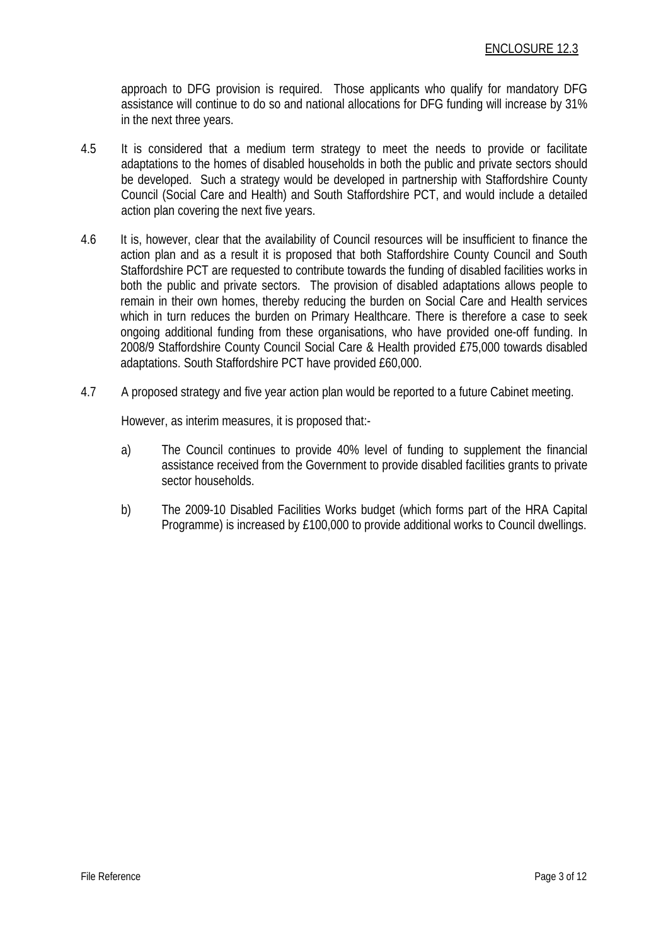approach to DFG provision is required. Those applicants who qualify for mandatory DFG assistance will continue to do so and national allocations for DFG funding will increase by 31% in the next three years.

- 4.5 It is considered that a medium term strategy to meet the needs to provide or facilitate adaptations to the homes of disabled households in both the public and private sectors should be developed. Such a strategy would be developed in partnership with Staffordshire County Council (Social Care and Health) and South Staffordshire PCT, and would include a detailed action plan covering the next five years.
- 4.6 It is, however, clear that the availability of Council resources will be insufficient to finance the action plan and as a result it is proposed that both Staffordshire County Council and South Staffordshire PCT are requested to contribute towards the funding of disabled facilities works in both the public and private sectors. The provision of disabled adaptations allows people to remain in their own homes, thereby reducing the burden on Social Care and Health services which in turn reduces the burden on Primary Healthcare. There is therefore a case to seek ongoing additional funding from these organisations, who have provided one-off funding. In 2008/9 Staffordshire County Council Social Care & Health provided £75,000 towards disabled adaptations. South Staffordshire PCT have provided £60,000.
- 4.7 A proposed strategy and five year action plan would be reported to a future Cabinet meeting.

However, as interim measures, it is proposed that:-

- a) The Council continues to provide 40% level of funding to supplement the financial assistance received from the Government to provide disabled facilities grants to private sector households.
- b) The 2009-10 Disabled Facilities Works budget (which forms part of the HRA Capital Programme) is increased by £100,000 to provide additional works to Council dwellings.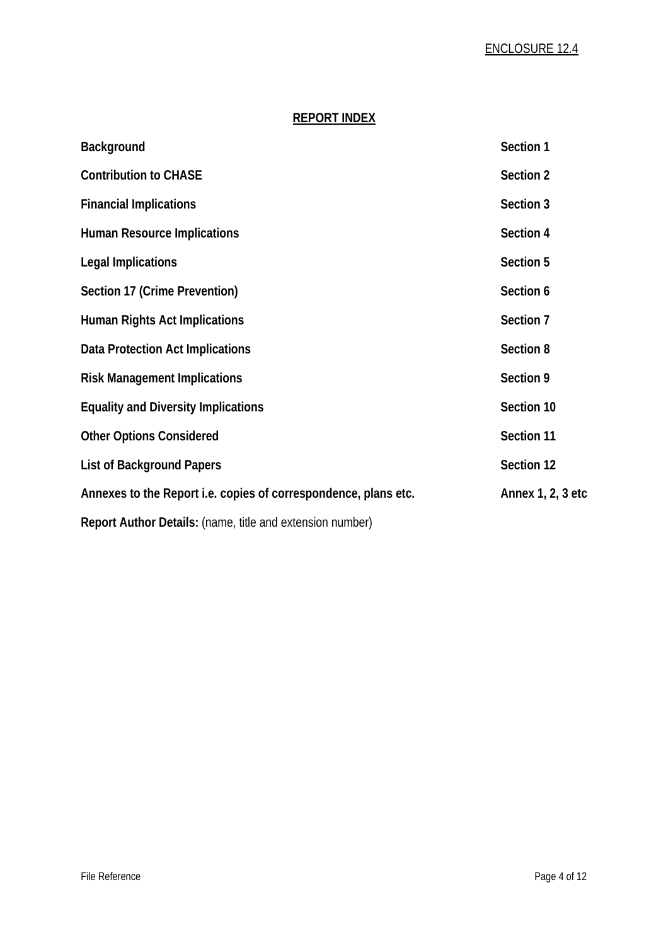### **REPORT INDEX**

| Background                                                      | Section 1         |
|-----------------------------------------------------------------|-------------------|
| <b>Contribution to CHASE</b>                                    | Section 2         |
| <b>Financial Implications</b>                                   | Section 3         |
| <b>Human Resource Implications</b>                              | Section 4         |
| <b>Legal Implications</b>                                       | Section 5         |
| Section 17 (Crime Prevention)                                   | Section 6         |
| <b>Human Rights Act Implications</b>                            | Section 7         |
| Data Protection Act Implications                                | Section 8         |
| <b>Risk Management Implications</b>                             | Section 9         |
| <b>Equality and Diversity Implications</b>                      | Section 10        |
| <b>Other Options Considered</b>                                 | Section 11        |
| <b>List of Background Papers</b>                                | Section 12        |
| Annexes to the Report i.e. copies of correspondence, plans etc. | Annex 1, 2, 3 etc |
| Report Author Details: (name, title and extension number)       |                   |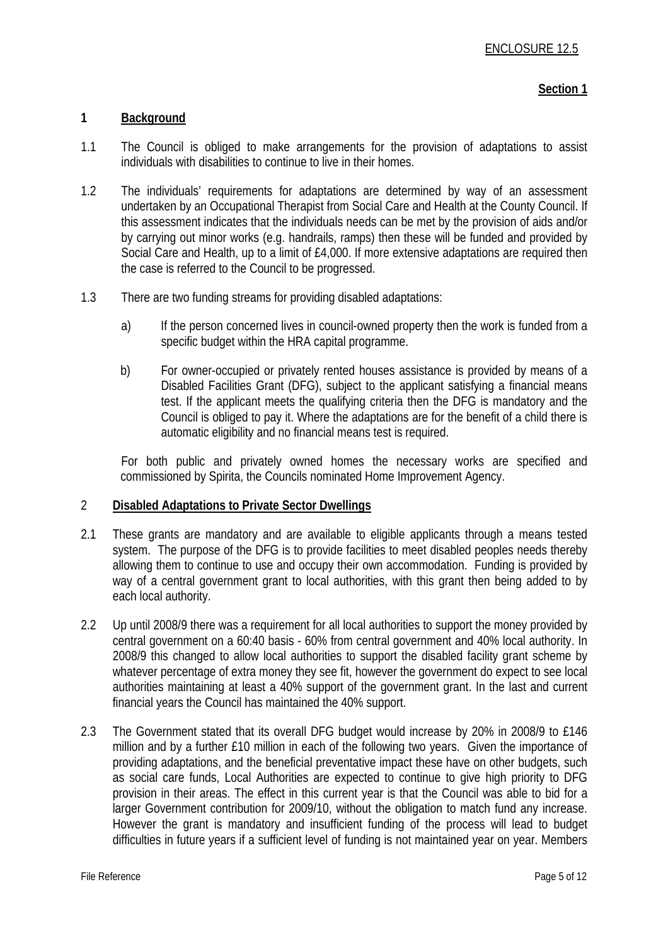### **1 Background**

- 1.1 The Council is obliged to make arrangements for the provision of adaptations to assist individuals with disabilities to continue to live in their homes.
- 1.2 The individuals' requirements for adaptations are determined by way of an assessment undertaken by an Occupational Therapist from Social Care and Health at the County Council. If this assessment indicates that the individuals needs can be met by the provision of aids and/or by carrying out minor works (e.g. handrails, ramps) then these will be funded and provided by Social Care and Health, up to a limit of £4,000. If more extensive adaptations are required then the case is referred to the Council to be progressed.
- 1.3 There are two funding streams for providing disabled adaptations:
	- a) If the person concerned lives in council-owned property then the work is funded from a specific budget within the HRA capital programme.
	- b) For owner-occupied or privately rented houses assistance is provided by means of a Disabled Facilities Grant (DFG), subject to the applicant satisfying a financial means test. If the applicant meets the qualifying criteria then the DFG is mandatory and the Council is obliged to pay it. Where the adaptations are for the benefit of a child there is automatic eligibility and no financial means test is required.

For both public and privately owned homes the necessary works are specified and commissioned by Spirita, the Councils nominated Home Improvement Agency.

#### 2 **Disabled Adaptations to Private Sector Dwellings**

- 2.1 These grants are mandatory and are available to eligible applicants through a means tested system. The purpose of the DFG is to provide facilities to meet disabled peoples needs thereby allowing them to continue to use and occupy their own accommodation. Funding is provided by way of a central government grant to local authorities, with this grant then being added to by each local authority.
- 2.2 Up until 2008/9 there was a requirement for all local authorities to support the money provided by central government on a 60:40 basis - 60% from central government and 40% local authority. In 2008/9 this changed to allow local authorities to support the disabled facility grant scheme by whatever percentage of extra money they see fit, however the government do expect to see local authorities maintaining at least a 40% support of the government grant. In the last and current financial years the Council has maintained the 40% support.
- 2.3 The Government stated that its overall DFG budget would increase by 20% in 2008/9 to £146 million and by a further £10 million in each of the following two years. Given the importance of providing adaptations, and the beneficial preventative impact these have on other budgets, such as social care funds, Local Authorities are expected to continue to give high priority to DFG provision in their areas. The effect in this current year is that the Council was able to bid for a larger Government contribution for 2009/10, without the obligation to match fund any increase. However the grant is mandatory and insufficient funding of the process will lead to budget difficulties in future years if a sufficient level of funding is not maintained year on year. Members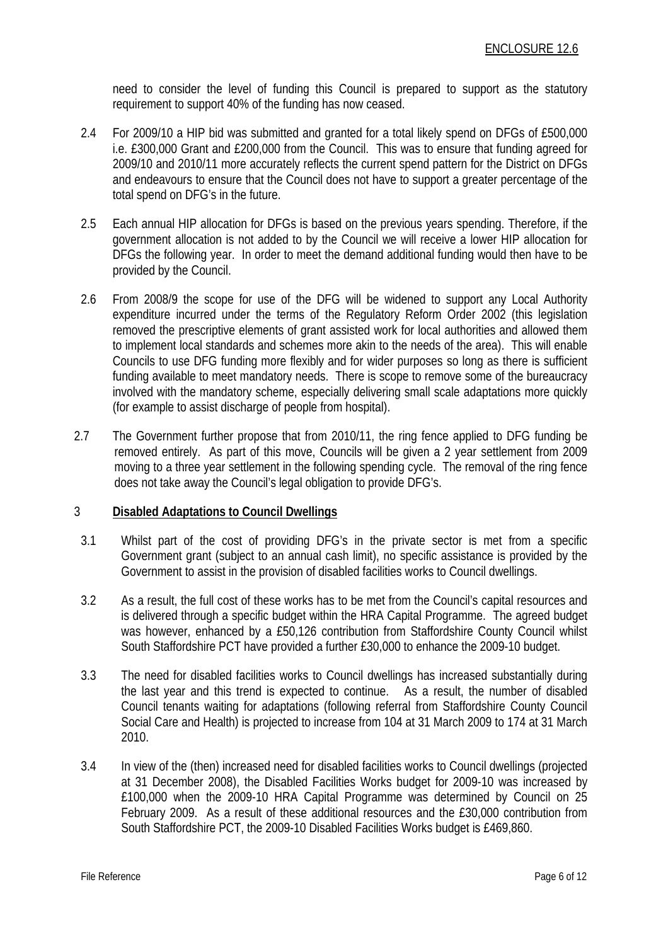need to consider the level of funding this Council is prepared to support as the statutory requirement to support 40% of the funding has now ceased.

- 2.4 For 2009/10 a HIP bid was submitted and granted for a total likely spend on DFGs of £500,000 i.e. £300,000 Grant and £200,000 from the Council. This was to ensure that funding agreed for 2009/10 and 2010/11 more accurately reflects the current spend pattern for the District on DFGs and endeavours to ensure that the Council does not have to support a greater percentage of the total spend on DFG's in the future.
- 2.5 Each annual HIP allocation for DFGs is based on the previous years spending. Therefore, if the government allocation is not added to by the Council we will receive a lower HIP allocation for DFGs the following year. In order to meet the demand additional funding would then have to be provided by the Council.
- 2.6 From 2008/9 the scope for use of the DFG will be widened to support any Local Authority expenditure incurred under the terms of the Regulatory Reform Order 2002 (this legislation removed the prescriptive elements of grant assisted work for local authorities and allowed them to implement local standards and schemes more akin to the needs of the area). This will enable Councils to use DFG funding more flexibly and for wider purposes so long as there is sufficient funding available to meet mandatory needs. There is scope to remove some of the bureaucracy involved with the mandatory scheme, especially delivering small scale adaptations more quickly (for example to assist discharge of people from hospital).
- 2.7 The Government further propose that from 2010/11, the ring fence applied to DFG funding be removed entirely. As part of this move, Councils will be given a 2 year settlement from 2009 moving to a three year settlement in the following spending cycle. The removal of the ring fence does not take away the Council's legal obligation to provide DFG's.

## 3 **Disabled Adaptations to Council Dwellings**

- 3.1 Whilst part of the cost of providing DFG's in the private sector is met from a specific Government grant (subject to an annual cash limit), no specific assistance is provided by the Government to assist in the provision of disabled facilities works to Council dwellings.
- 3.2 As a result, the full cost of these works has to be met from the Council's capital resources and is delivered through a specific budget within the HRA Capital Programme. The agreed budget was however, enhanced by a £50,126 contribution from Staffordshire County Council whilst South Staffordshire PCT have provided a further £30,000 to enhance the 2009-10 budget.
- 3.3 The need for disabled facilities works to Council dwellings has increased substantially during the last year and this trend is expected to continue. As a result, the number of disabled Council tenants waiting for adaptations (following referral from Staffordshire County Council Social Care and Health) is projected to increase from 104 at 31 March 2009 to 174 at 31 March 2010.
- 3.4 In view of the (then) increased need for disabled facilities works to Council dwellings (projected at 31 December 2008), the Disabled Facilities Works budget for 2009-10 was increased by £100,000 when the 2009-10 HRA Capital Programme was determined by Council on 25 February 2009. As a result of these additional resources and the £30,000 contribution from South Staffordshire PCT, the 2009-10 Disabled Facilities Works budget is £469,860.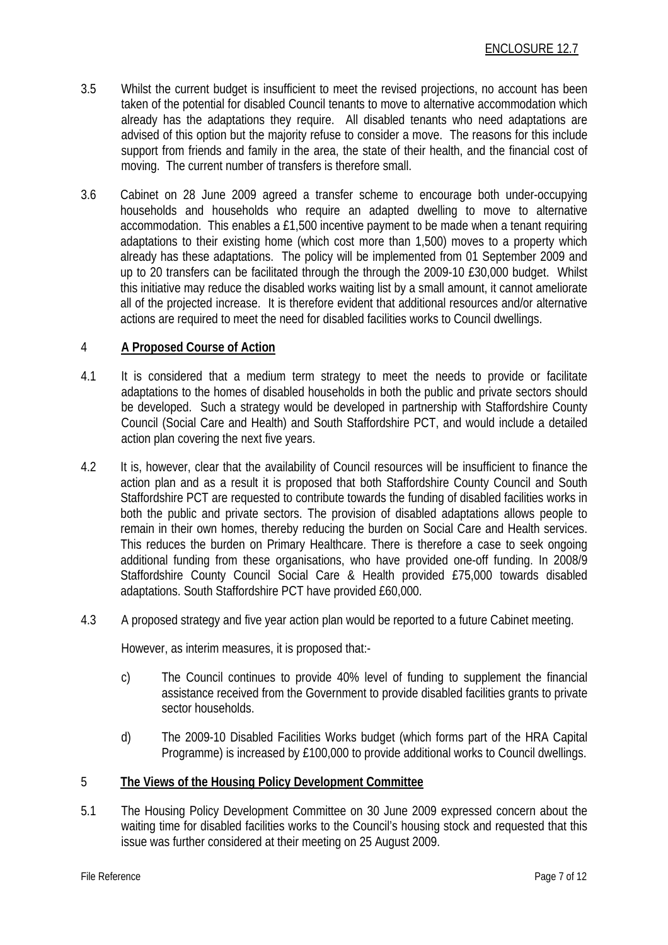- 3.5 Whilst the current budget is insufficient to meet the revised projections, no account has been taken of the potential for disabled Council tenants to move to alternative accommodation which already has the adaptations they require. All disabled tenants who need adaptations are advised of this option but the majority refuse to consider a move. The reasons for this include support from friends and family in the area, the state of their health, and the financial cost of moving. The current number of transfers is therefore small.
- 3.6 Cabinet on 28 June 2009 agreed a transfer scheme to encourage both under-occupying households and households who require an adapted dwelling to move to alternative accommodation. This enables a £1,500 incentive payment to be made when a tenant requiring adaptations to their existing home (which cost more than 1,500) moves to a property which already has these adaptations. The policy will be implemented from 01 September 2009 and up to 20 transfers can be facilitated through the through the 2009-10 £30,000 budget. Whilst this initiative may reduce the disabled works waiting list by a small amount, it cannot ameliorate all of the projected increase. It is therefore evident that additional resources and/or alternative actions are required to meet the need for disabled facilities works to Council dwellings.

## 4 **A Proposed Course of Action**

- 4.1 It is considered that a medium term strategy to meet the needs to provide or facilitate adaptations to the homes of disabled households in both the public and private sectors should be developed. Such a strategy would be developed in partnership with Staffordshire County Council (Social Care and Health) and South Staffordshire PCT, and would include a detailed action plan covering the next five years.
- 4.2 It is, however, clear that the availability of Council resources will be insufficient to finance the action plan and as a result it is proposed that both Staffordshire County Council and South Staffordshire PCT are requested to contribute towards the funding of disabled facilities works in both the public and private sectors. The provision of disabled adaptations allows people to remain in their own homes, thereby reducing the burden on Social Care and Health services. This reduces the burden on Primary Healthcare. There is therefore a case to seek ongoing additional funding from these organisations, who have provided one-off funding. In 2008/9 Staffordshire County Council Social Care & Health provided £75,000 towards disabled adaptations. South Staffordshire PCT have provided £60,000.
- 4.3 A proposed strategy and five year action plan would be reported to a future Cabinet meeting.

However, as interim measures, it is proposed that:-

- c) The Council continues to provide 40% level of funding to supplement the financial assistance received from the Government to provide disabled facilities grants to private sector households.
- d) The 2009-10 Disabled Facilities Works budget (which forms part of the HRA Capital Programme) is increased by £100,000 to provide additional works to Council dwellings.

### 5 **The Views of the Housing Policy Development Committee**

5.1 The Housing Policy Development Committee on 30 June 2009 expressed concern about the waiting time for disabled facilities works to the Council's housing stock and requested that this issue was further considered at their meeting on 25 August 2009.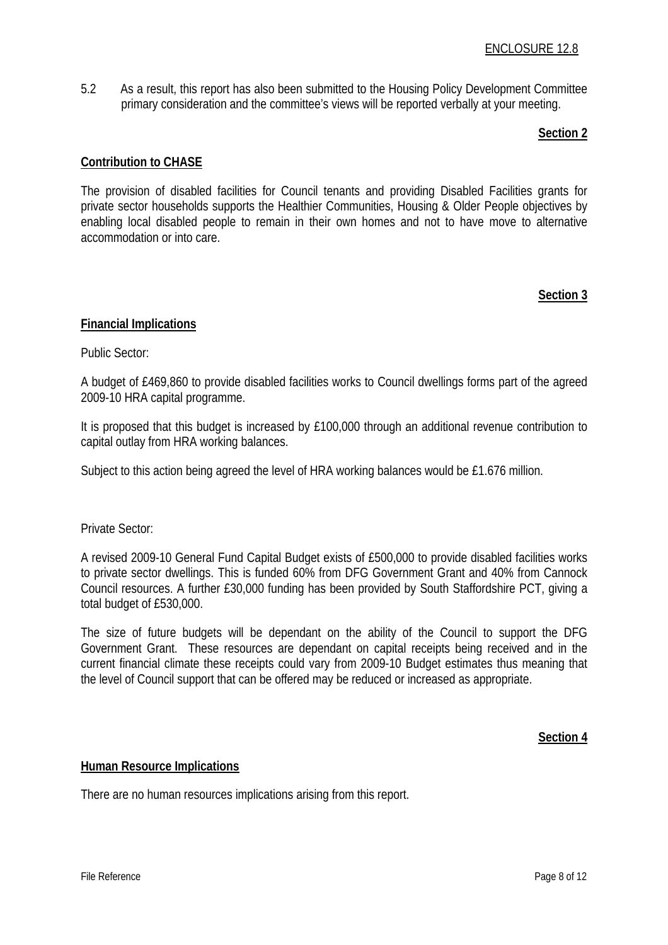5.2 As a result, this report has also been submitted to the Housing Policy Development Committee primary consideration and the committee's views will be reported verbally at your meeting.

### **Section 2**

### **Contribution to CHASE**

The provision of disabled facilities for Council tenants and providing Disabled Facilities grants for private sector households supports the Healthier Communities, Housing & Older People objectives by enabling local disabled people to remain in their own homes and not to have move to alternative accommodation or into care.

### **Section 3**

### **Financial Implications**

Public Sector:

A budget of £469,860 to provide disabled facilities works to Council dwellings forms part of the agreed 2009-10 HRA capital programme.

It is proposed that this budget is increased by £100,000 through an additional revenue contribution to capital outlay from HRA working balances.

Subject to this action being agreed the level of HRA working balances would be £1.676 million.

Private Sector:

A revised 2009-10 General Fund Capital Budget exists of £500,000 to provide disabled facilities works to private sector dwellings. This is funded 60% from DFG Government Grant and 40% from Cannock Council resources. A further £30,000 funding has been provided by South Staffordshire PCT, giving a total budget of £530,000.

The size of future budgets will be dependant on the ability of the Council to support the DFG Government Grant. These resources are dependant on capital receipts being received and in the current financial climate these receipts could vary from 2009-10 Budget estimates thus meaning that the level of Council support that can be offered may be reduced or increased as appropriate.

**Section 4**

#### **Human Resource Implications**

There are no human resources implications arising from this report.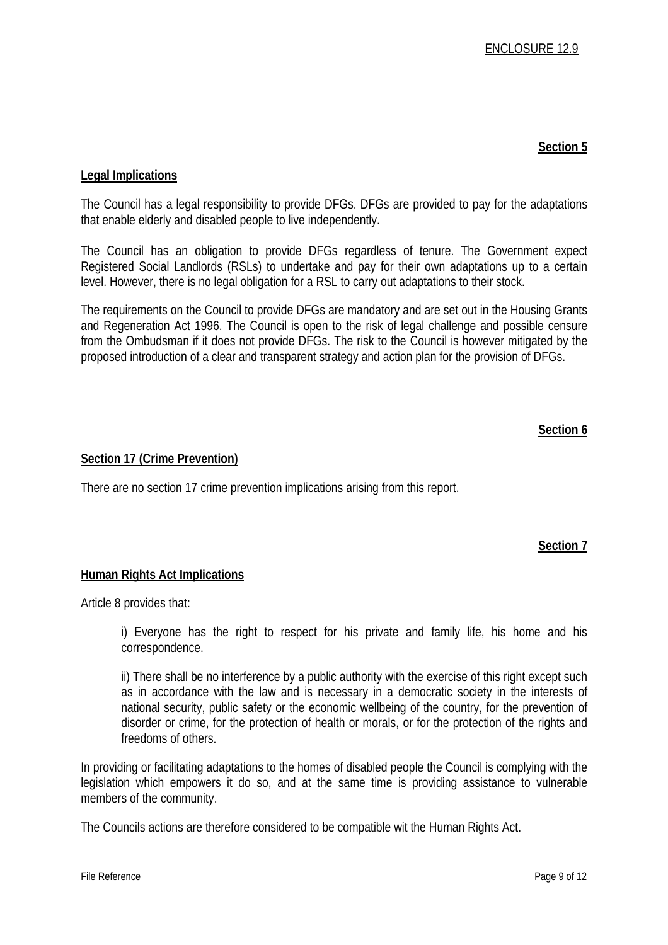## **Legal Implications**

The Council has a legal responsibility to provide DFGs. DFGs are provided to pay for the adaptations that enable elderly and disabled people to live independently.

The Council has an obligation to provide DFGs regardless of tenure. The Government expect Registered Social Landlords (RSLs) to undertake and pay for their own adaptations up to a certain level. However, there is no legal obligation for a RSL to carry out adaptations to their stock.

The requirements on the Council to provide DFGs are mandatory and are set out in the Housing Grants and Regeneration Act 1996. The Council is open to the risk of legal challenge and possible censure from the Ombudsman if it does not provide DFGs. The risk to the Council is however mitigated by the proposed introduction of a clear and transparent strategy and action plan for the provision of DFGs.

## **Section 6**

### **Section 17 (Crime Prevention)**

There are no section 17 crime prevention implications arising from this report.

#### **Section 7**

#### **Human Rights Act Implications**

Article 8 provides that:

i) Everyone has the right to respect for his private and family life, his home and his correspondence.

ii) There shall be no interference by a public authority with the exercise of this right except such as in accordance with the law and is necessary in a democratic society in the interests of national security, public safety or the economic wellbeing of the country, for the prevention of disorder or crime, for the protection of health or morals, or for the protection of the rights and freedoms of others.

In providing or facilitating adaptations to the homes of disabled people the Council is complying with the legislation which empowers it do so, and at the same time is providing assistance to vulnerable members of the community.

The Councils actions are therefore considered to be compatible wit the Human Rights Act.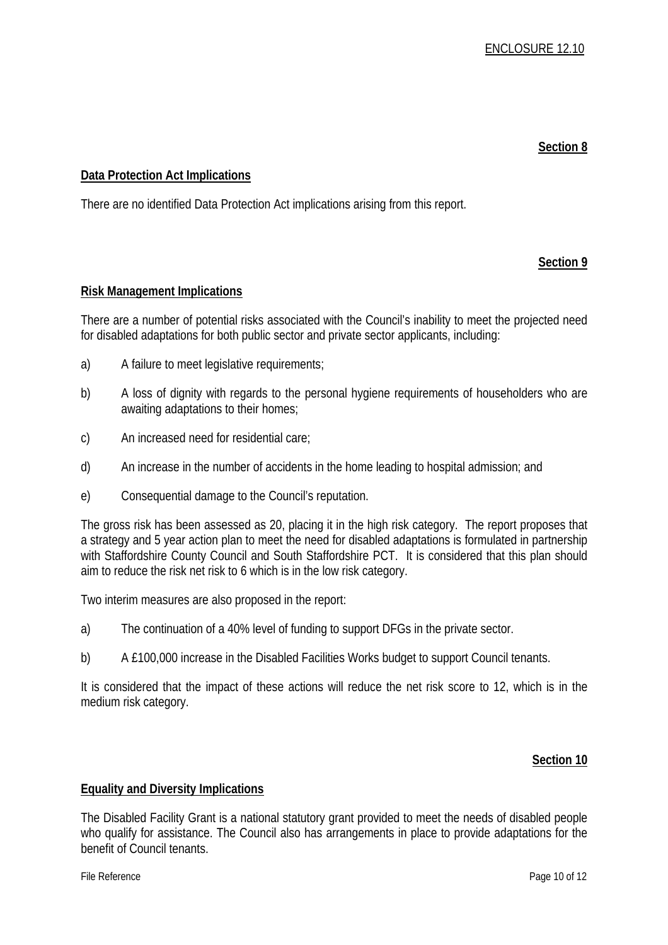### **Data Protection Act Implications**

There are no identified Data Protection Act implications arising from this report.

## **Section 9**

### **Risk Management Implications**

There are a number of potential risks associated with the Council's inability to meet the projected need for disabled adaptations for both public sector and private sector applicants, including:

- a) A failure to meet legislative requirements;
- b) A loss of dignity with regards to the personal hygiene requirements of householders who are awaiting adaptations to their homes;
- c) An increased need for residential care;
- d) An increase in the number of accidents in the home leading to hospital admission; and
- e) Consequential damage to the Council's reputation.

The gross risk has been assessed as 20, placing it in the high risk category. The report proposes that a strategy and 5 year action plan to meet the need for disabled adaptations is formulated in partnership with Staffordshire County Council and South Staffordshire PCT. It is considered that this plan should aim to reduce the risk net risk to 6 which is in the low risk category.

Two interim measures are also proposed in the report:

- a) The continuation of a 40% level of funding to support DFGs in the private sector.
- b) A £100,000 increase in the Disabled Facilities Works budget to support Council tenants.

It is considered that the impact of these actions will reduce the net risk score to 12, which is in the medium risk category.

## **Section 10**

#### **Equality and Diversity Implications**

The Disabled Facility Grant is a national statutory grant provided to meet the needs of disabled people who qualify for assistance. The Council also has arrangements in place to provide adaptations for the benefit of Council tenants.

File Reference Page 10 of 12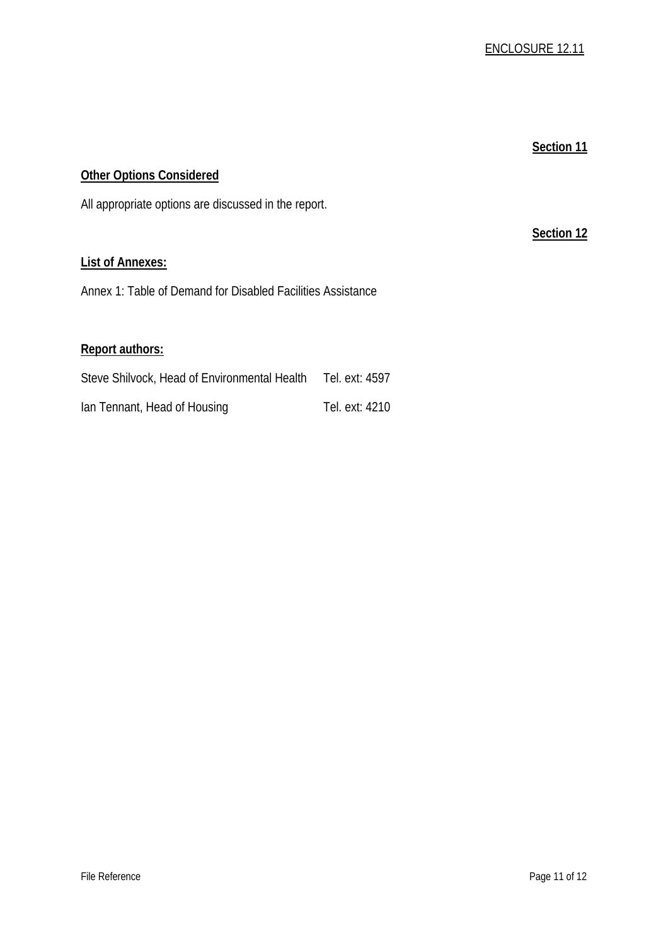**Section 12**

# **Other Options Considered**

All appropriate options are discussed in the report.

# **List of Annexes:**

Annex 1: Table of Demand for Disabled Facilities Assistance

## **Report authors:**

| Steve Shilvock, Head of Environmental Health | Tel. ext: 4597 |
|----------------------------------------------|----------------|
| lan Tennant, Head of Housing                 | Tel. ext: 4210 |